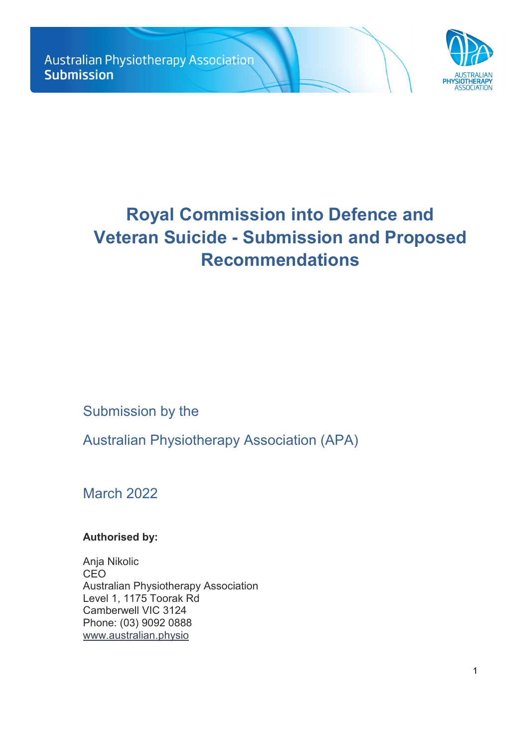

# **Royal Commission into Defence and Veteran Suicide - Submission and Proposed Recommendations**

Submission by the

Australian Physiotherapy Association (APA)

March 2022

**Authorised by:** 

Anja Nikolic CEO Australian Physiotherapy Association Level 1, 1175 Toorak Rd Camberwell VIC 3124 Phone: (03) 9092 0888 [www.au](http://www.physiotherapy.asn.au/)stralian.physio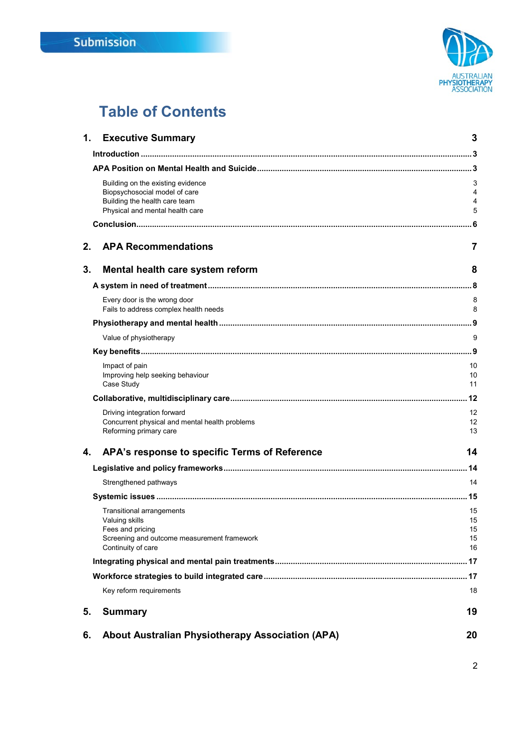

## **Table of Contents**

| 1. | <b>Executive Summary</b>                                                                                                                    | 3                          |
|----|---------------------------------------------------------------------------------------------------------------------------------------------|----------------------------|
|    |                                                                                                                                             |                            |
|    |                                                                                                                                             |                            |
|    | Building on the existing evidence<br>Biopsychosocial model of care<br>Building the health care team<br>Physical and mental health care      | 3<br>4<br>4<br>5           |
|    |                                                                                                                                             |                            |
| 2. | <b>APA Recommendations</b>                                                                                                                  | 7                          |
| 3. | Mental health care system reform                                                                                                            | 8                          |
|    |                                                                                                                                             |                            |
|    | Every door is the wrong door<br>Fails to address complex health needs                                                                       | 8<br>8                     |
|    |                                                                                                                                             |                            |
|    | Value of physiotherapy                                                                                                                      | 9                          |
|    |                                                                                                                                             |                            |
|    | Impact of pain<br>Improving help seeking behaviour<br>Case Study                                                                            | 10<br>10<br>11             |
|    |                                                                                                                                             |                            |
|    | Driving integration forward<br>Concurrent physical and mental health problems<br>Reforming primary care                                     | 12<br>12<br>13             |
| 4. | APA's response to specific Terms of Reference                                                                                               | 14                         |
|    |                                                                                                                                             |                            |
|    | Strengthened pathways                                                                                                                       | 14                         |
|    |                                                                                                                                             | . 15                       |
|    | <b>Transitional arrangements</b><br>Valuing skills<br>Fees and pricing<br>Screening and outcome measurement framework<br>Continuity of care | 15<br>15<br>15<br>15<br>16 |
|    |                                                                                                                                             |                            |
|    |                                                                                                                                             |                            |
|    | Key reform requirements                                                                                                                     | 18                         |
| 5. | <b>Summary</b>                                                                                                                              | 19                         |
| 6. | <b>About Australian Physiotherapy Association (APA)</b>                                                                                     | 20                         |

2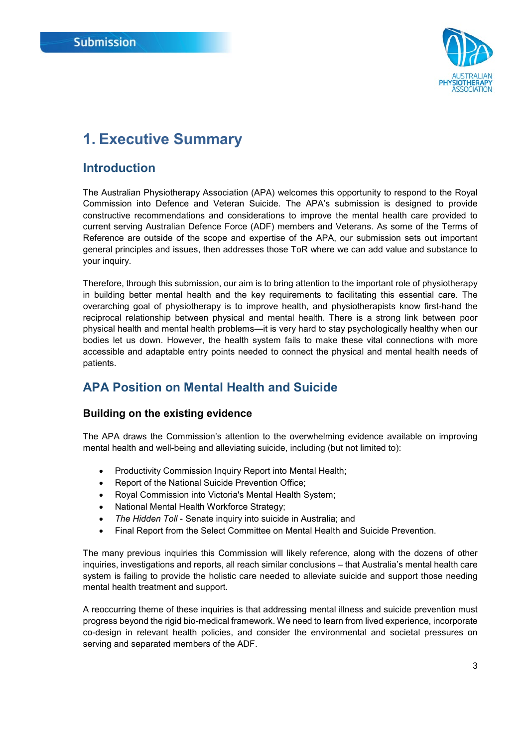

## <span id="page-2-0"></span>**1. Executive Summary**

### <span id="page-2-1"></span>**Introduction**

The Australian Physiotherapy Association (APA) welcomes this opportunity to respond to the Royal Commission into Defence and Veteran Suicide. The APA's submission is designed to provide constructive recommendations and considerations to improve the mental health care provided to current serving Australian Defence Force (ADF) members and Veterans. As some of the Terms of Reference are outside of the scope and expertise of the APA, our submission sets out important general principles and issues, then addresses those ToR where we can add value and substance to your inquiry.

Therefore, through this submission, our aim is to bring attention to the important role of physiotherapy in building better mental health and the key requirements to facilitating this essential care. The overarching goal of physiotherapy is to improve health, and physiotherapists know first-hand the reciprocal relationship between physical and mental health. There is a strong link between poor physical health and mental health problems—it is very hard to stay psychologically healthy when our bodies let us down. However, the health system fails to make these vital connections with more accessible and adaptable entry points needed to connect the physical and mental health needs of patients.

## <span id="page-2-2"></span>**APA Position on Mental Health and Suicide**

#### <span id="page-2-3"></span>**Building on the existing evidence**

The APA draws the Commission's attention to the overwhelming evidence available on improving mental health and well-being and alleviating suicide, including (but not limited to):

- Productivity Commission Inquiry Report into Mental Health;
- Report of the National Suicide Prevention Office;
- Royal Commission into Victoria's Mental Health System;
- National Mental Health Workforce Strategy;
- *The Hidden Toll* Senate inquiry into suicide in Australia; and
- Final Report from the Select Committee on Mental Health and Suicide Prevention.

The many previous inquiries this Commission will likely reference, along with the dozens of other inquiries, investigations and reports, all reach similar conclusions – that Australia's mental health care system is failing to provide the holistic care needed to alleviate suicide and support those needing mental health treatment and support.

A reoccurring theme of these inquiries is that addressing mental illness and suicide prevention must progress beyond the rigid bio-medical framework. We need to learn from lived experience, incorporate co-design in relevant health policies, and consider the environmental and societal pressures on serving and separated members of the ADF.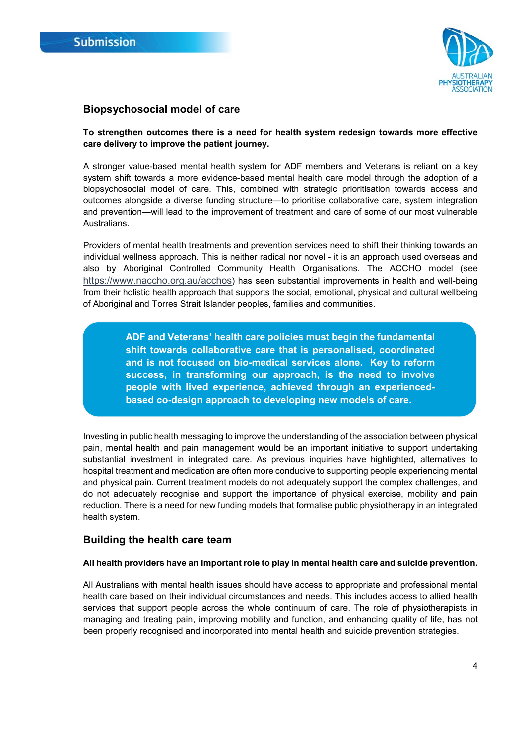

#### <span id="page-3-0"></span>**Biopsychosocial model of care**

#### **To strengthen outcomes there is a need for health system redesign towards more effective care delivery to improve the patient journey.**

A stronger value-based mental health system for ADF members and Veterans is reliant on a key system shift towards a more evidence-based mental health care model through the adoption of a biopsychosocial model of care. This, combined with strategic prioritisation towards access and outcomes alongside a diverse funding structure—to prioritise collaborative care, system integration and prevention—will lead to the improvement of treatment and care of some of our most vulnerable Australians.

Providers of mental health treatments and prevention services need to shift their thinking towards an individual wellness approach. This is neither radical nor novel - it is an approach used overseas and also by Aboriginal Controlled Community Health Organisations. The ACCHO model (see [https://www.naccho.org.au/acchos\)](https://www.naccho.org.au/acchos) has seen substantial improvements in health and well-being from their holistic health approach that supports the social, emotional, physical and cultural wellbeing of Aboriginal and Torres Strait Islander peoples, families and communities.

> **ADF and Veterans' health care policies must begin the fundamental shift towards collaborative care that is personalised, coordinated and is not focused on bio-medical services alone. Key to reform success, in transforming our approach, is the need to involve people with lived experience, achieved through an experiencedbased co-design approach to developing new models of care.**

Investing in public health messaging to improve the understanding of the association between physical pain, mental health and pain management would be an important initiative to support undertaking substantial investment in integrated care. As previous inquiries have highlighted, alternatives to hospital treatment and medication are often more conducive to supporting people experiencing mental and physical pain. Current treatment models do not adequately support the complex challenges, and do not adequately recognise and support the importance of physical exercise, mobility and pain reduction. There is a need for new funding models that formalise public physiotherapy in an integrated health system.

#### <span id="page-3-1"></span>**Building the health care team**

#### **All health providers have an important role to play in mental health care and suicide prevention.**

All Australians with mental health issues should have access to appropriate and professional mental health care based on their individual circumstances and needs. This includes access to allied health services that support people across the whole continuum of care. The role of physiotherapists in managing and treating pain, improving mobility and function, and enhancing quality of life, has not been properly recognised and incorporated into mental health and suicide prevention strategies.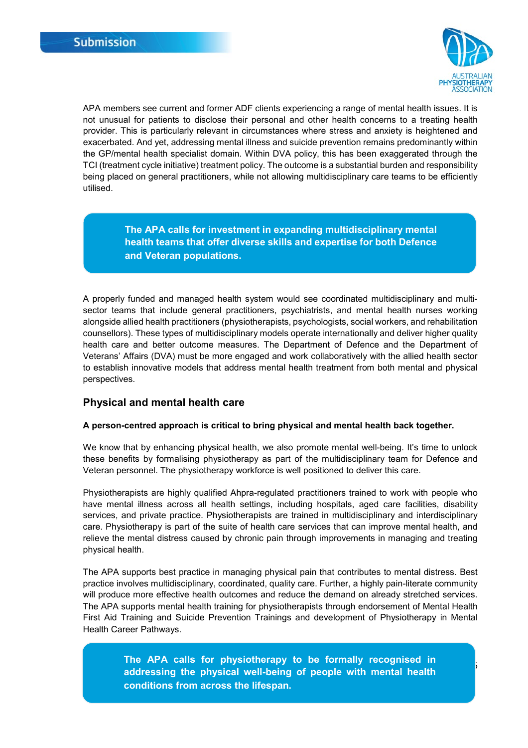

5

APA members see current and former ADF clients experiencing a range of mental health issues. It is not unusual for patients to disclose their personal and other health concerns to a treating health provider. This is particularly relevant in circumstances where stress and anxiety is heightened and exacerbated. And yet, addressing mental illness and suicide prevention remains predominantly within the GP/mental health specialist domain. Within DVA policy, this has been exaggerated through the TCI (treatment cycle initiative) treatment policy. The outcome is a substantial burden and responsibility being placed on general practitioners, while not allowing multidisciplinary care teams to be efficiently utilised.

> **The APA calls for investment in expanding multidisciplinary mental health teams that offer diverse skills and expertise for both Defence and Veteran populations.**

A properly funded and managed health system would see coordinated multidisciplinary and multisector teams that include general practitioners, psychiatrists, and mental health nurses working alongside allied health practitioners (physiotherapists, psychologists, social workers, and rehabilitation counsellors). These types of multidisciplinary models operate internationally and deliver higher quality health care and better outcome measures. The Department of Defence and the Department of Veterans' Affairs (DVA) must be more engaged and work collaboratively with the allied health sector to establish innovative models that address mental health treatment from both mental and physical perspectives.

#### <span id="page-4-0"></span>**Physical and mental health care**

#### **A person-centred approach is critical to bring physical and mental health back together.**

We know that by enhancing physical health, we also promote mental well-being. It's time to unlock these benefits by formalising physiotherapy as part of the multidisciplinary team for Defence and Veteran personnel. The physiotherapy workforce is well positioned to deliver this care.

Physiotherapists are highly qualified Ahpra-regulated practitioners trained to work with people who have mental illness across all health settings, including hospitals, aged care facilities, disability services, and private practice. Physiotherapists are trained in multidisciplinary and interdisciplinary care. Physiotherapy is part of the suite of health care services that can improve mental health, and relieve the mental distress caused by chronic pain through improvements in managing and treating physical health.

The APA supports best practice in managing physical pain that contributes to mental distress. Best practice involves multidisciplinary, coordinated, quality care. Further, a highly pain-literate community will produce more effective health outcomes and reduce the demand on already stretched services. The APA supports mental health training for physiotherapists through endorsement of Mental Health First Aid Training and Suicide Prevention Trainings and development of Physiotherapy in Mental Health Career Pathways.

> **The APA calls for physiotherapy to be formally recognised in addressing the physical well-being of people with mental health conditions from across the lifespan.**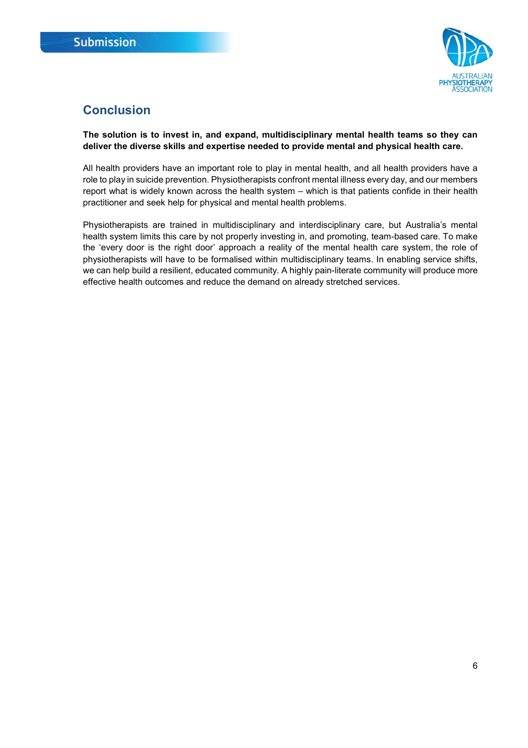

## <span id="page-5-0"></span>**Conclusion**

**The solution is to invest in, and expand, multidisciplinary mental health teams so they can deliver the diverse skills and expertise needed to provide mental and physical health care.**

All health providers have an important role to play in mental health, and all health providers have a role to play in suicide prevention. Physiotherapists confront mental illness every day, and our members report what is widely known across the health system – which is that patients confide in their health practitioner and seek help for physical and mental health problems.

Physiotherapists are trained in multidisciplinary and interdisciplinary care, but Australia's mental health system limits this care by not properly investing in, and promoting, team-based care. To make the 'every door is the right door' approach a reality of the mental health care system, the role of physiotherapists will have to be formalised within multidisciplinary teams. In enabling service shifts, we can help build a resilient, educated community. A highly pain-literate community will produce more effective health outcomes and reduce the demand on already stretched services.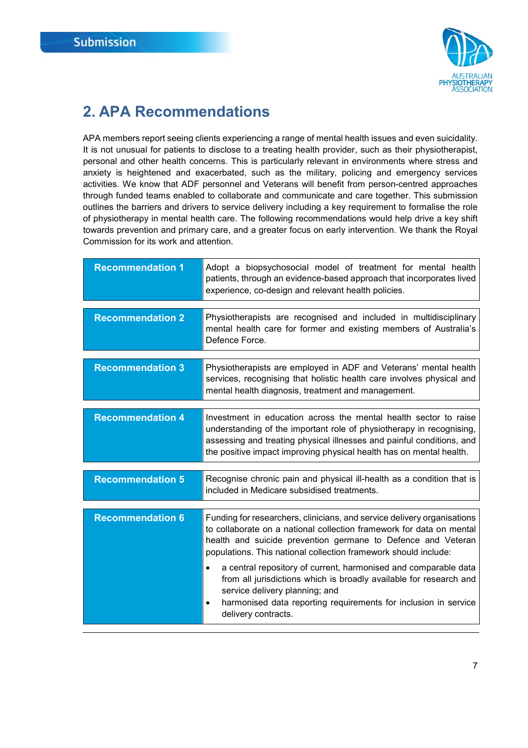

## <span id="page-6-0"></span>**2. APA Recommendations**

APA members report seeing clients experiencing a range of mental health issues and even suicidality. It is not unusual for patients to disclose to a treating health provider, such as their physiotherapist, personal and other health concerns. This is particularly relevant in environments where stress and anxiety is heightened and exacerbated, such as the military, policing and emergency services activities. We know that ADF personnel and Veterans will benefit from person-centred approaches through funded teams enabled to collaborate and communicate and care together. This submission outlines the barriers and drivers to service delivery including a key requirement to formalise the role of physiotherapy in mental health care. The following recommendations would help drive a key shift towards prevention and primary care, and a greater focus on early intervention. We thank the Royal Commission for its work and attention.

| <b>Recommendation 1</b> | Adopt a biopsychosocial model of treatment for mental health<br>patients, through an evidence-based approach that incorporates lived<br>experience, co-design and relevant health policies.                                                                                                                                                                                                                                                                                                                                                                               |
|-------------------------|---------------------------------------------------------------------------------------------------------------------------------------------------------------------------------------------------------------------------------------------------------------------------------------------------------------------------------------------------------------------------------------------------------------------------------------------------------------------------------------------------------------------------------------------------------------------------|
| <b>Recommendation 2</b> | Physiotherapists are recognised and included in multidisciplinary<br>mental health care for former and existing members of Australia's<br>Defence Force.                                                                                                                                                                                                                                                                                                                                                                                                                  |
| <b>Recommendation 3</b> | Physiotherapists are employed in ADF and Veterans' mental health<br>services, recognising that holistic health care involves physical and<br>mental health diagnosis, treatment and management.                                                                                                                                                                                                                                                                                                                                                                           |
| <b>Recommendation 4</b> | Investment in education across the mental health sector to raise<br>understanding of the important role of physiotherapy in recognising,<br>assessing and treating physical illnesses and painful conditions, and<br>the positive impact improving physical health has on mental health.                                                                                                                                                                                                                                                                                  |
| <b>Recommendation 5</b> | Recognise chronic pain and physical ill-health as a condition that is<br>included in Medicare subsidised treatments.                                                                                                                                                                                                                                                                                                                                                                                                                                                      |
| <b>Recommendation 6</b> | Funding for researchers, clinicians, and service delivery organisations<br>to collaborate on a national collection framework for data on mental<br>health and suicide prevention germane to Defence and Veteran<br>populations. This national collection framework should include:<br>a central repository of current, harmonised and comparable data<br>٠<br>from all jurisdictions which is broadly available for research and<br>service delivery planning; and<br>harmonised data reporting requirements for inclusion in service<br>$\bullet$<br>delivery contracts. |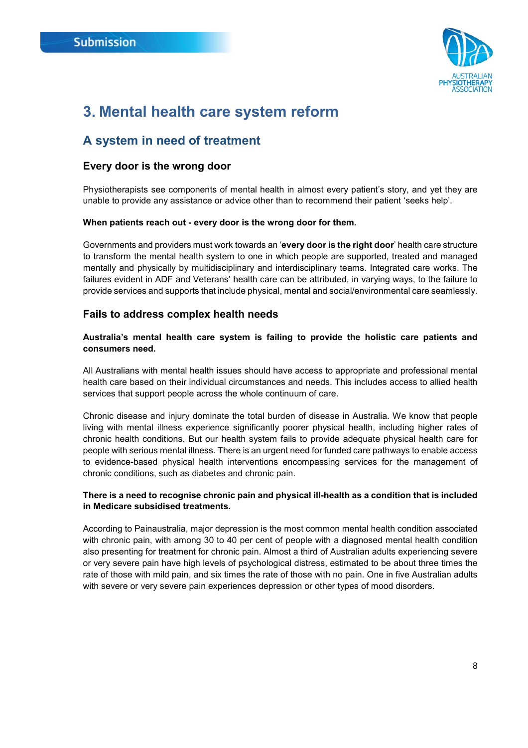

## <span id="page-7-0"></span>**3. Mental health care system reform**

### <span id="page-7-1"></span>**A system in need of treatment**

#### <span id="page-7-2"></span>**Every door is the wrong door**

Physiotherapists see components of mental health in almost every patient's story, and yet they are unable to provide any assistance or advice other than to recommend their patient 'seeks help'.

#### **When patients reach out - every door is the wrong door for them.**

Governments and providers must work towards an '**every door is the right door**' health care structure to transform the mental health system to one in which people are supported, treated and managed mentally and physically by multidisciplinary and interdisciplinary teams. Integrated care works. The failures evident in ADF and Veterans' health care can be attributed, in varying ways, to the failure to provide services and supports that include physical, mental and social/environmental care seamlessly.

#### <span id="page-7-3"></span>**Fails to address complex health needs**

#### **Australia's mental health care system is failing to provide the holistic care patients and consumers need.**

All Australians with mental health issues should have access to appropriate and professional mental health care based on their individual circumstances and needs. This includes access to allied health services that support people across the whole continuum of care.

Chronic disease and injury dominate the total burden of disease in Australia. We know that people living with mental illness experience significantly poorer physical health, including higher rates of chronic health conditions. But our health system fails to provide adequate physical health care for people with serious mental illness. There is an urgent need for funded care pathways to enable access to evidence-based physical health interventions encompassing services for the management of chronic conditions, such as diabetes and chronic pain.

#### **There is a need to recognise chronic pain and physical ill-health as a condition that is included in Medicare subsidised treatments.**

According to Painaustralia, major depression is the most common mental health condition associated with chronic pain, with among 30 to 40 per cent of people with a diagnosed mental health condition also presenting for treatment for chronic pain. Almost a third of Australian adults experiencing severe or very severe pain have high levels of psychological distress, estimated to be about three times the rate of those with mild pain, and six times the rate of those with no pain. One in five Australian adults with severe or very severe pain experiences depression or other types of mood disorders.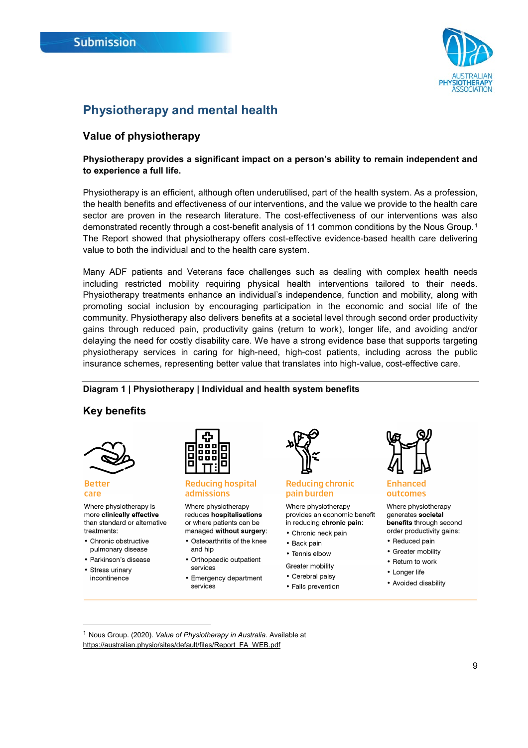

## <span id="page-8-0"></span>**Physiotherapy and mental health**

### <span id="page-8-1"></span>**Value of physiotherapy**

#### **Physiotherapy provides a significant impact on a person's ability to remain independent and to experience a full life.**

Physiotherapy is an efficient, although often underutilised, part of the health system. As a profession, the health benefits and effectiveness of our interventions, and the value we provide to the health care sector are proven in the research literature. The cost-effectiveness of our interventions was also demonstrated recently through a cost-benefit analysis of 11 common conditions by the Nous Group.[1](#page-8-3) The Report showed that physiotherapy offers cost-effective evidence-based health care delivering value to both the individual and to the health care system.

Many ADF patients and Veterans face challenges such as dealing with complex health needs including restricted mobility requiring physical health interventions tailored to their needs. Physiotherapy treatments enhance an individual's independence, function and mobility, along with promoting social inclusion by encouraging participation in the economic and social life of the community. Physiotherapy also delivers benefits at a societal level through second order productivity gains through reduced pain, productivity gains (return to work), longer life, and avoiding and/or delaying the need for costly disability care. We have a strong evidence base that supports targeting physiotherapy services in caring for high-need, high-cost patients, including across the public insurance schemes, representing better value that translates into high-value, cost-effective care.

#### **Diagram 1 | Physiotherapy | Individual and health system benefits**

#### <span id="page-8-2"></span>**Key benefits**



#### **Better** care

Where physiotherapy is more clinically effective than standard or alternative treatments:

- Chronic obstructive pulmonary disease
- · Parkinson's disease
- Stress urinary incontinence



#### **Reducing hospital** admissions

Where physiotherapy reduces hospitalisations or where patients can be managed without surgery:

- Osteoarthritis of the knee and hip
- Orthopaedic outpatient services
- Emergency department services



#### **Reducing chronic** pain burden

Where physiotherapy provides an economic benefit in reducing chronic pain:

- Chronic neck pain
- Back pain
- Tennis elbow

#### Greater mobility

• Cerebral palsy • Falls prevention



#### **Enhanced** outcomes

Where physiotherapy generates societal benefits through second order productivity gains:

- Reduced pain
- Greater mobility
- Return to work
- Longer life
- Avoided disability

<span id="page-8-3"></span> 1 Nous Group. (2020). *Value of Physiotherapy in Australia*. Available at [https://australian.physio/sites/default/files/Report\\_FA\\_WEB.pdf](https://australian.physio/sites/default/files/Report_FA_WEB.pdf)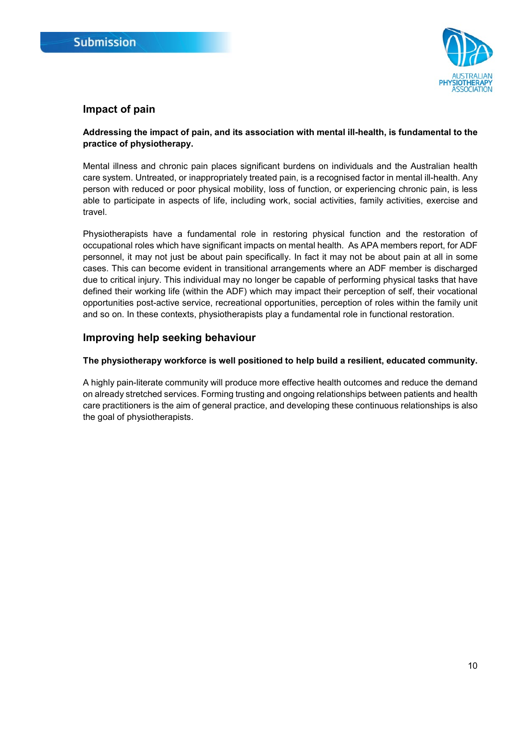

#### <span id="page-9-0"></span>**Impact of pain**

#### **Addressing the impact of pain, and its association with mental ill-health, is fundamental to the practice of physiotherapy.**

Mental illness and chronic pain places significant burdens on individuals and the Australian health care system. Untreated, or inappropriately treated pain, is a recognised factor in mental ill-health. Any person with reduced or poor physical mobility, loss of function, or experiencing chronic pain, is less able to participate in aspects of life, including work, social activities, family activities, exercise and travel.

Physiotherapists have a fundamental role in restoring physical function and the restoration of occupational roles which have significant impacts on mental health. As APA members report, for ADF personnel, it may not just be about pain specifically. In fact it may not be about pain at all in some cases. This can become evident in transitional arrangements where an ADF member is discharged due to critical injury. This individual may no longer be capable of performing physical tasks that have defined their working life (within the ADF) which may impact their perception of self, their vocational opportunities post-active service, recreational opportunities, perception of roles within the family unit and so on. In these contexts, physiotherapists play a fundamental role in functional restoration.

#### <span id="page-9-1"></span>**Improving help seeking behaviour**

#### **The physiotherapy workforce is well positioned to help build a resilient, educated community.**

A highly pain-literate community will produce more effective health outcomes and reduce the demand on already stretched services. Forming trusting and ongoing relationships between patients and health care practitioners is the aim of general practice, and developing these continuous relationships is also the goal of physiotherapists.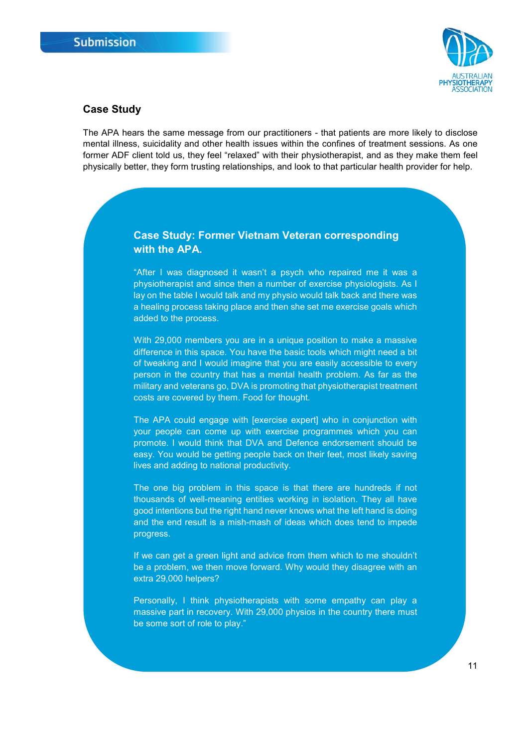

#### <span id="page-10-0"></span>**Case Study**

The APA hears the same message from our practitioners - that patients are more likely to disclose mental illness, suicidality and other health issues within the confines of treatment sessions. As one former ADF client told us, they feel "relaxed" with their physiotherapist, and as they make them feel physically better, they form trusting relationships, and look to that particular health provider for help.

#### **Case Study: Former Vietnam Veteran corresponding with the APA.**

"After I was diagnosed it wasn't a psych who repaired me it was a physiotherapist and since then a number of exercise physiologists. As I lay on the table I would talk and my physio would talk back and there was a healing process taking place and then she set me exercise goals which added to the process.

With 29,000 members you are in a unique position to make a massive difference in this space. You have the basic tools which might need a bit of tweaking and I would imagine that you are easily accessible to every person in the country that has a mental health problem. As far as the military and veterans go, DVA is promoting that physiotherapist treatment costs are covered by them. Food for thought.

The APA could engage with [exercise expert] who in conjunction with your people can come up with exercise programmes which you can promote. I would think that DVA and Defence endorsement should be easy. You would be getting people back on their feet, most likely saving lives and adding to national productivity.

The one big problem in this space is that there are hundreds if not thousands of well-meaning entities working in isolation. They all have good intentions but the right hand never knows what the left hand is doing and the end result is a mish-mash of ideas which does tend to impede progress.

If we can get a green light and advice from them which to me shouldn't be a problem, we then move forward. Why would they disagree with an extra 29,000 helpers?

Personally, I think physiotherapists with some empathy can play a massive part in recovery. With 29,000 physios in the country there must be some sort of role to play."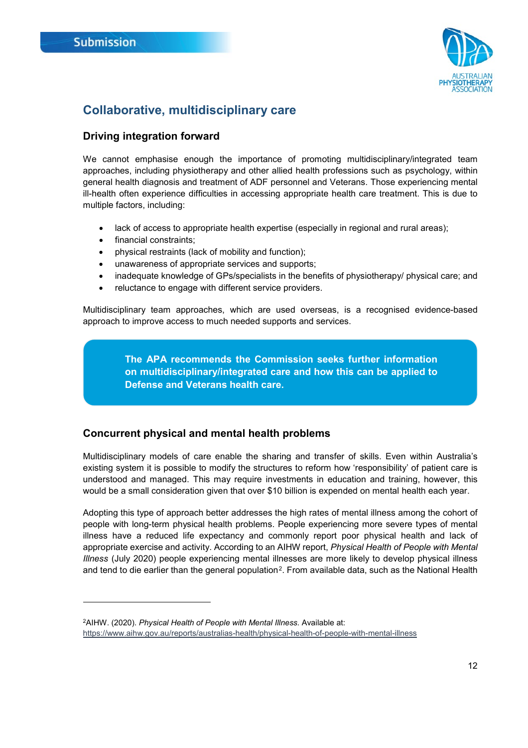-



## <span id="page-11-0"></span>**Collaborative, multidisciplinary care**

#### <span id="page-11-1"></span>**Driving integration forward**

We cannot emphasise enough the importance of promoting multidisciplinary/integrated team approaches, including physiotherapy and other allied health professions such as psychology, within general health diagnosis and treatment of ADF personnel and Veterans. Those experiencing mental ill-health often experience difficulties in accessing appropriate health care treatment. This is due to multiple factors, including:

- lack of access to appropriate health expertise (especially in regional and rural areas);
- financial constraints;
- physical restraints (lack of mobility and function);
- unawareness of appropriate services and supports;
- inadequate knowledge of GPs/specialists in the benefits of physiotherapy/ physical care; and
- reluctance to engage with different service providers.

Multidisciplinary team approaches, which are used overseas, is a recognised evidence-based approach to improve access to much needed supports and services.

> **The APA recommends the Commission seeks further information on multidisciplinary/integrated care and how this can be applied to Defense and Veterans health care.**

#### <span id="page-11-2"></span>**Concurrent physical and mental health problems**

Multidisciplinary models of care enable the sharing and transfer of skills. Even within Australia's existing system it is possible to modify the structures to reform how 'responsibility' of patient care is understood and managed. This may require investments in education and training, however, this would be a small consideration given that over \$10 billion is expended on mental health each year.

Adopting this type of approach better addresses the high rates of mental illness among the cohort of people with long-term physical health problems. People experiencing more severe types of mental illness have a reduced life expectancy and commonly report poor physical health and lack of appropriate exercise and activity. According to an AIHW report, *Physical Health of People with Mental Illness* (July 2020) people experiencing mental illnesses are more likely to develop physical illness and tend to die earlier than the general population<sup>2</sup>. From available data, such as the National Health

<span id="page-11-3"></span><sup>2</sup>AIHW. (2020). *Physical Health of People with Mental Illness.* Available at:

<https://www.aihw.gov.au/reports/australias-health/physical-health-of-people-with-mental-illness>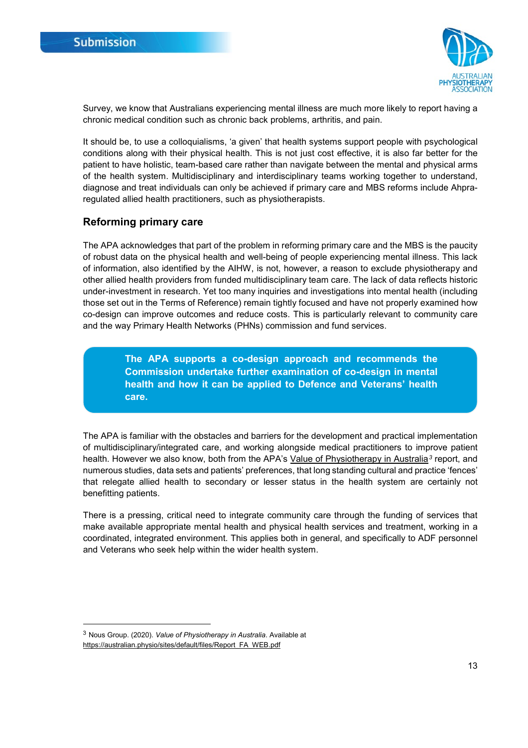

Survey, we know that Australians experiencing mental illness are much more likely to report having a chronic medical condition such as chronic back problems, arthritis, and pain.

It should be, to use a colloquialisms, 'a given' that health systems support people with psychological conditions along with their physical health. This is not just cost effective, it is also far better for the patient to have holistic, team-based care rather than navigate between the mental and physical arms of the health system. Multidisciplinary and interdisciplinary teams working together to understand, diagnose and treat individuals can only be achieved if primary care and MBS reforms include Ahpraregulated allied health practitioners, such as physiotherapists.

#### <span id="page-12-0"></span>**Reforming primary care**

The APA acknowledges that part of the problem in reforming primary care and the MBS is the paucity of robust data on the physical health and well-being of people experiencing mental illness. This lack of information, also identified by the AIHW, is not, however, a reason to exclude physiotherapy and other allied health providers from funded multidisciplinary team care. The lack of data reflects historic under-investment in research. Yet too many inquiries and investigations into mental health (including those set out in the Terms of Reference) remain tightly focused and have not properly examined how co-design can improve outcomes and reduce costs. This is particularly relevant to community care and the way Primary Health Networks (PHNs) commission and fund services.

> **The APA supports a co-design approach and recommends the Commission undertake further examination of co-design in mental health and how it can be applied to Defence and Veterans' health care.**

The APA is familiar with the obstacles and barriers for the development and practical implementation of multidisciplinary/integrated care, and working alongside medical practitioners to improve patient health. However we also know, both from the APA's [Value of Physiotherapy](https://australian.physio/economic-value) in Australia<sup>[3](#page-12-1)</sup> report, and numerous studies, data sets and patients' preferences, that long standing cultural and practice 'fences' that relegate allied health to secondary or lesser status in the health system are certainly not benefitting patients.

There is a pressing, critical need to integrate community care through the funding of services that make available appropriate mental health and physical health services and treatment, working in a coordinated, integrated environment. This applies both in general, and specifically to ADF personnel and Veterans who seek help within the wider health system.

<span id="page-12-1"></span> <sup>3</sup> Nous Group. (2020). *Value of Physiotherapy in Australia*. Available at [https://australian.physio/sites/default/files/Report\\_FA\\_WEB.pdf](https://australian.physio/sites/default/files/Report_FA_WEB.pdf)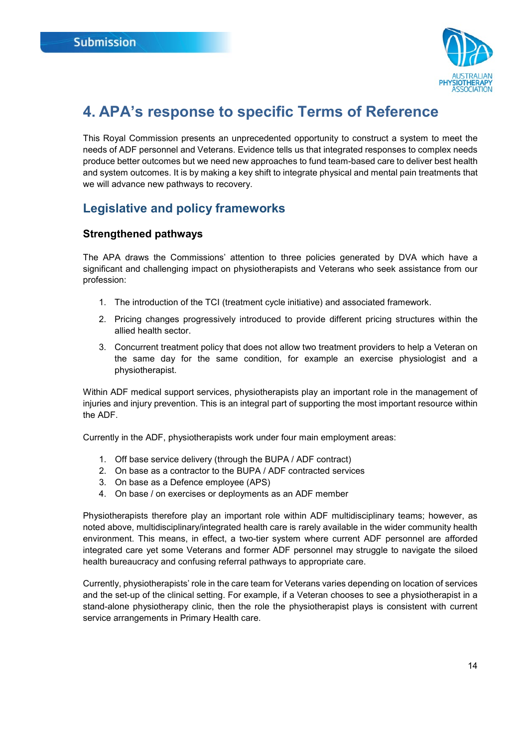

## <span id="page-13-0"></span>**4. APA's response to specific Terms of Reference**

This Royal Commission presents an unprecedented opportunity to construct a system to meet the needs of ADF personnel and Veterans. Evidence tells us that integrated responses to complex needs produce better outcomes but we need new approaches to fund team-based care to deliver best health and system outcomes. It is by making a key shift to integrate physical and mental pain treatments that we will advance new pathways to recovery.

## <span id="page-13-1"></span>**Legislative and policy frameworks**

#### <span id="page-13-2"></span>**Strengthened pathways**

The APA draws the Commissions' attention to three policies generated by DVA which have a significant and challenging impact on physiotherapists and Veterans who seek assistance from our profession:

- 1. The introduction of the TCI (treatment cycle initiative) and associated framework.
- 2. Pricing changes progressively introduced to provide different pricing structures within the allied health sector.
- 3. Concurrent treatment policy that does not allow two treatment providers to help a Veteran on the same day for the same condition, for example an exercise physiologist and a physiotherapist.

Within ADF medical support services, physiotherapists play an important role in the management of injuries and injury prevention. This is an integral part of supporting the most important resource within the ADF.

Currently in the ADF, physiotherapists work under four main employment areas:

- 1. Off base service delivery (through the BUPA / ADF contract)
- 2. On base as a contractor to the BUPA / ADF contracted services
- 3. On base as a Defence employee (APS)
- 4. On base / on exercises or deployments as an ADF member

Physiotherapists therefore play an important role within ADF multidisciplinary teams; however, as noted above, multidisciplinary/integrated health care is rarely available in the wider community health environment. This means, in effect, a two-tier system where current ADF personnel are afforded integrated care yet some Veterans and former ADF personnel may struggle to navigate the siloed health bureaucracy and confusing referral pathways to appropriate care.

Currently, physiotherapists' role in the care team for Veterans varies depending on location of services and the set-up of the clinical setting. For example, if a Veteran chooses to see a physiotherapist in a stand-alone physiotherapy clinic, then the role the physiotherapist plays is consistent with current service arrangements in Primary Health care.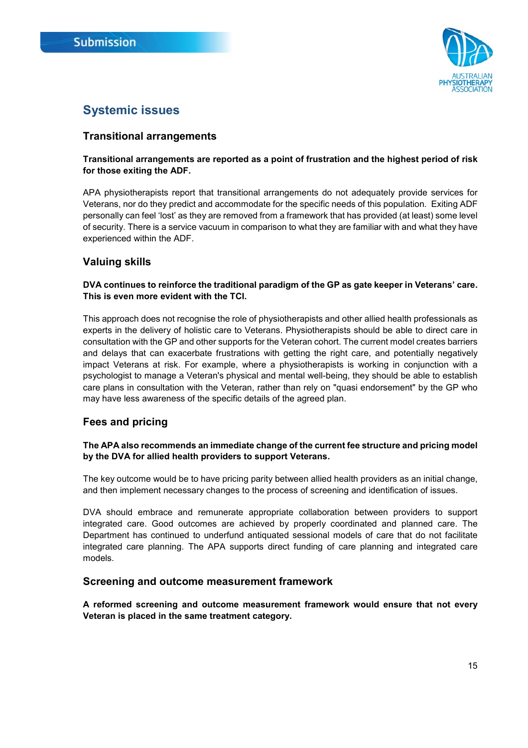

## <span id="page-14-0"></span>**Systemic issues**

#### <span id="page-14-1"></span>**Transitional arrangements**

#### **Transitional arrangements are reported as a point of frustration and the highest period of risk for those exiting the ADF.**

APA physiotherapists report that transitional arrangements do not adequately provide services for Veterans, nor do they predict and accommodate for the specific needs of this population. Exiting ADF personally can feel 'lost' as they are removed from a framework that has provided (at least) some level of security. There is a service vacuum in comparison to what they are familiar with and what they have experienced within the ADF.

#### <span id="page-14-2"></span>**Valuing skills**

#### **DVA continues to reinforce the traditional paradigm of the GP as gate keeper in Veterans' care. This is even more evident with the TCI.**

This approach does not recognise the role of physiotherapists and other allied health professionals as experts in the delivery of holistic care to Veterans. Physiotherapists should be able to direct care in consultation with the GP and other supports for the Veteran cohort. The current model creates barriers and delays that can exacerbate frustrations with getting the right care, and potentially negatively impact Veterans at risk. For example, where a physiotherapists is working in conjunction with a psychologist to manage a Veteran's physical and mental well-being, they should be able to establish care plans in consultation with the Veteran, rather than rely on "quasi endorsement" by the GP who may have less awareness of the specific details of the agreed plan.

#### <span id="page-14-3"></span>**Fees and pricing**

#### **The APA also recommends an immediate change of the current fee structure and pricing model by the DVA for allied health providers to support Veterans.**

The key outcome would be to have pricing parity between allied health providers as an initial change, and then implement necessary changes to the process of screening and identification of issues.

DVA should embrace and remunerate appropriate collaboration between providers to support integrated care. Good outcomes are achieved by properly coordinated and planned care. The Department has continued to underfund antiquated sessional models of care that do not facilitate integrated care planning. The APA supports direct funding of care planning and integrated care models.

#### <span id="page-14-4"></span>**Screening and outcome measurement framework**

**A reformed screening and outcome measurement framework would ensure that not every Veteran is placed in the same treatment category.**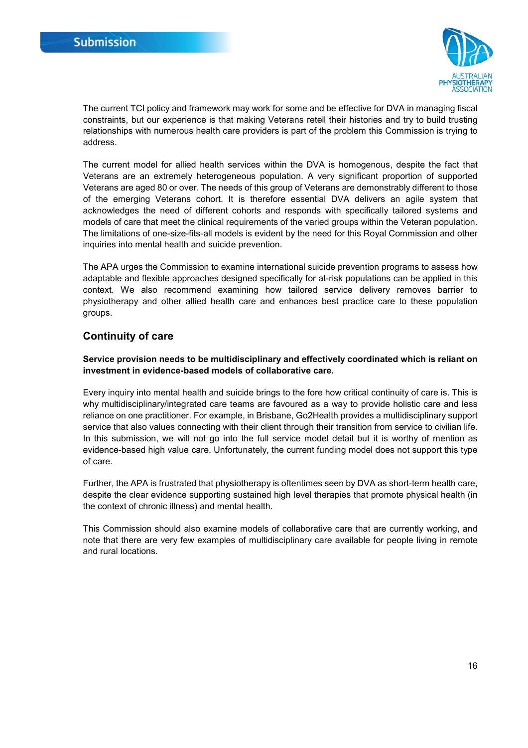

The current TCI policy and framework may work for some and be effective for DVA in managing fiscal constraints, but our experience is that making Veterans retell their histories and try to build trusting relationships with numerous health care providers is part of the problem this Commission is trying to address.

The current model for allied health services within the DVA is homogenous, despite the fact that Veterans are an extremely heterogeneous population. A very significant proportion of supported Veterans are aged 80 or over. The needs of this group of Veterans are demonstrably different to those of the emerging Veterans cohort. It is therefore essential DVA delivers an agile system that acknowledges the need of different cohorts and responds with specifically tailored systems and models of care that meet the clinical requirements of the varied groups within the Veteran population. The limitations of one-size-fits-all models is evident by the need for this Royal Commission and other inquiries into mental health and suicide prevention.

The APA urges the Commission to examine international suicide prevention programs to assess how adaptable and flexible approaches designed specifically for at-risk populations can be applied in this context. We also recommend examining how tailored service delivery removes barrier to physiotherapy and other allied health care and enhances best practice care to these population groups.

#### <span id="page-15-0"></span>**Continuity of care**

#### **Service provision needs to be multidisciplinary and effectively coordinated which is reliant on investment in evidence-based models of collaborative care.**

Every inquiry into mental health and suicide brings to the fore how critical continuity of care is. This is why multidisciplinary/integrated care teams are favoured as a way to provide holistic care and less reliance on one practitioner. For example, in Brisbane, Go2Health provides a multidisciplinary support service that also values connecting with their client through their transition from service to civilian life. In this submission, we will not go into the full service model detail but it is worthy of mention as evidence-based high value care. Unfortunately, the current funding model does not support this type of care.

Further, the APA is frustrated that physiotherapy is oftentimes seen by DVA as short-term health care, despite the clear evidence supporting sustained high level therapies that promote physical health (in the context of chronic illness) and mental health.

This Commission should also examine models of collaborative care that are currently working, and note that there are very few examples of multidisciplinary care available for people living in remote and rural locations.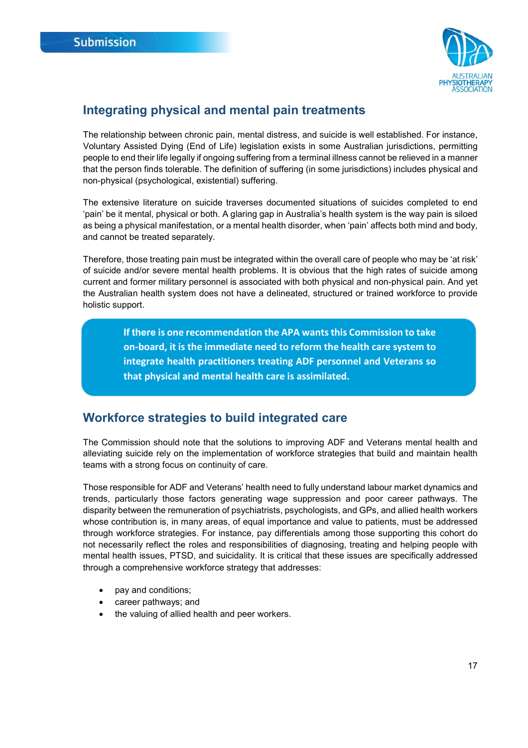

### <span id="page-16-0"></span>**Integrating physical and mental pain treatments**

The relationship between chronic pain, mental distress, and suicide is well established. For instance, Voluntary Assisted Dying (End of Life) legislation exists in some Australian jurisdictions, permitting people to end their life legally if ongoing suffering from a terminal illness cannot be relieved in a manner that the person finds tolerable. The definition of suffering (in some jurisdictions) includes physical and non-physical (psychological, existential) suffering.

The extensive literature on suicide traverses documented situations of suicides completed to end 'pain' be it mental, physical or both. A glaring gap in Australia's health system is the way pain is siloed as being a physical manifestation, or a mental health disorder, when 'pain' affects both mind and body, and cannot be treated separately.

Therefore, those treating pain must be integrated within the overall care of people who may be 'at risk' of suicide and/or severe mental health problems. It is obvious that the high rates of suicide among current and former military personnel is associated with both physical and non-physical pain. And yet the Australian health system does not have a delineated, structured or trained workforce to provide holistic support.

> **If there is one recommendation the APA wants this Commission to take on-board, it is the immediate need to reform the health care system to integrate health practitioners treating ADF personnel and Veterans so that physical and mental health care is assimilated.**

## <span id="page-16-1"></span>**Workforce strategies to build integrated care**

The Commission should note that the solutions to improving ADF and Veterans mental health and alleviating suicide rely on the implementation of workforce strategies that build and maintain health teams with a strong focus on continuity of care.

Those responsible for ADF and Veterans' health need to fully understand labour market dynamics and trends, particularly those factors generating wage suppression and poor career pathways. The disparity between the remuneration of psychiatrists, psychologists, and GPs, and allied health workers whose contribution is, in many areas, of equal importance and value to patients, must be addressed through workforce strategies. For instance, pay differentials among those supporting this cohort do not necessarily reflect the roles and responsibilities of diagnosing, treating and helping people with mental health issues, PTSD, and suicidality. It is critical that these issues are specifically addressed through a comprehensive workforce strategy that addresses:

- pay and conditions;
- career pathways; and
- the valuing of allied health and peer workers.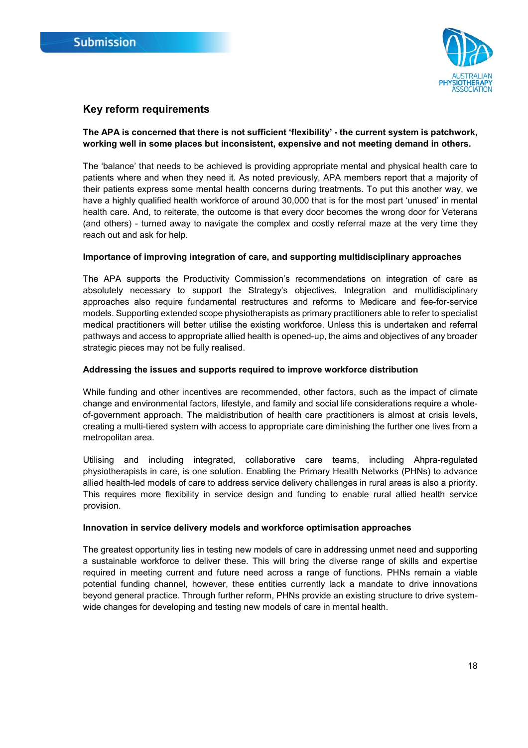

#### <span id="page-17-0"></span>**Key reform requirements**

#### **The APA is concerned that there is not sufficient 'flexibility' - the current system is patchwork, working well in some places but inconsistent, expensive and not meeting demand in others.**

The 'balance' that needs to be achieved is providing appropriate mental and physical health care to patients where and when they need it. As noted previously, APA members report that a majority of their patients express some mental health concerns during treatments. To put this another way, we have a highly qualified health workforce of around 30,000 that is for the most part 'unused' in mental health care. And, to reiterate, the outcome is that every door becomes the wrong door for Veterans (and others) - turned away to navigate the complex and costly referral maze at the very time they reach out and ask for help.

#### **Importance of improving integration of care, and supporting multidisciplinary approaches**

The APA supports the Productivity Commission's recommendations on integration of care as absolutely necessary to support the Strategy's objectives. Integration and multidisciplinary approaches also require fundamental restructures and reforms to Medicare and fee-for-service models. Supporting extended scope physiotherapists as primary practitioners able to refer to specialist medical practitioners will better utilise the existing workforce. Unless this is undertaken and referral pathways and access to appropriate allied health is opened-up, the aims and objectives of any broader strategic pieces may not be fully realised.

#### **Addressing the issues and supports required to improve workforce distribution**

While funding and other incentives are recommended, other factors, such as the impact of climate change and environmental factors, lifestyle, and family and social life considerations require a wholeof-government approach. The maldistribution of health care practitioners is almost at crisis levels, creating a multi-tiered system with access to appropriate care diminishing the further one lives from a metropolitan area.

Utilising and including integrated, collaborative care teams, including Ahpra-regulated physiotherapists in care, is one solution. Enabling the Primary Health Networks (PHNs) to advance allied health-led models of care to address service delivery challenges in rural areas is also a priority. This requires more flexibility in service design and funding to enable rural allied health service provision.

#### **Innovation in service delivery models and workforce optimisation approaches**

The greatest opportunity lies in testing new models of care in addressing unmet need and supporting a sustainable workforce to deliver these. This will bring the diverse range of skills and expertise required in meeting current and future need across a range of functions. PHNs remain a viable potential funding channel, however, these entities currently lack a mandate to drive innovations beyond general practice. Through further reform, PHNs provide an existing structure to drive systemwide changes for developing and testing new models of care in mental health.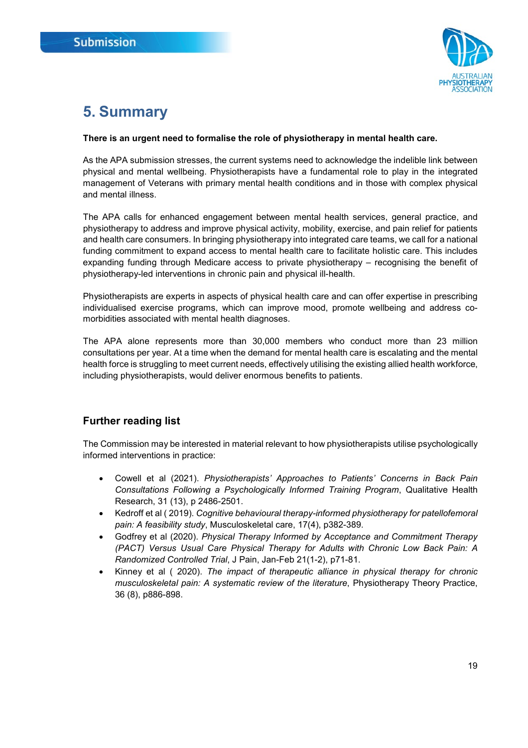

## <span id="page-18-0"></span>**5. Summary**

#### **There is an urgent need to formalise the role of physiotherapy in mental health care.**

As the APA submission stresses, the current systems need to acknowledge the indelible link between physical and mental wellbeing. Physiotherapists have a fundamental role to play in the integrated management of Veterans with primary mental health conditions and in those with complex physical and mental illness.

The APA calls for enhanced engagement between mental health services, general practice, and physiotherapy to address and improve physical activity, mobility, exercise, and pain relief for patients and health care consumers. In bringing physiotherapy into integrated care teams, we call for a national funding commitment to expand access to mental health care to facilitate holistic care. This includes expanding funding through Medicare access to private physiotherapy – recognising the benefit of physiotherapy-led interventions in chronic pain and physical ill-health.

Physiotherapists are experts in aspects of physical health care and can offer expertise in prescribing individualised exercise programs, which can improve mood, promote wellbeing and address comorbidities associated with mental health diagnoses.

The APA alone represents more than 30,000 members who conduct more than 23 million consultations per year. At a time when the demand for mental health care is escalating and the mental health force is struggling to meet current needs, effectively utilising the existing allied health workforce, including physiotherapists, would deliver enormous benefits to patients.

### **Further reading list**

The Commission may be interested in material relevant to how physiotherapists utilise psychologically informed interventions in practice:

- Cowell et al (2021). *Physiotherapists' Approaches to Patients' Concerns in Back Pain Consultations Following a Psychologically Informed Training Program*, Qualitative Health Research, 31 (13), p 2486-2501.
- Kedroff et al ( 2019). *Cognitive behavioural therapy-informed physiotherapy for patellofemoral pain: A feasibility study*, Musculoskeletal care, 17(4), p382-389.
- Godfrey et al (2020). *Physical Therapy Informed by Acceptance and Commitment Therapy (PACT) Versus Usual Care Physical Therapy for Adults with Chronic Low Back Pain: A Randomized Controlled Trial*, J Pain, Jan-Feb 21(1-2), p71-81.
- Kinney et al ( 2020). *The impact of therapeutic alliance in physical therapy for chronic musculoskeletal pain: A systematic review of the literature*, Physiotherapy Theory Practice, 36 (8), p886-898.